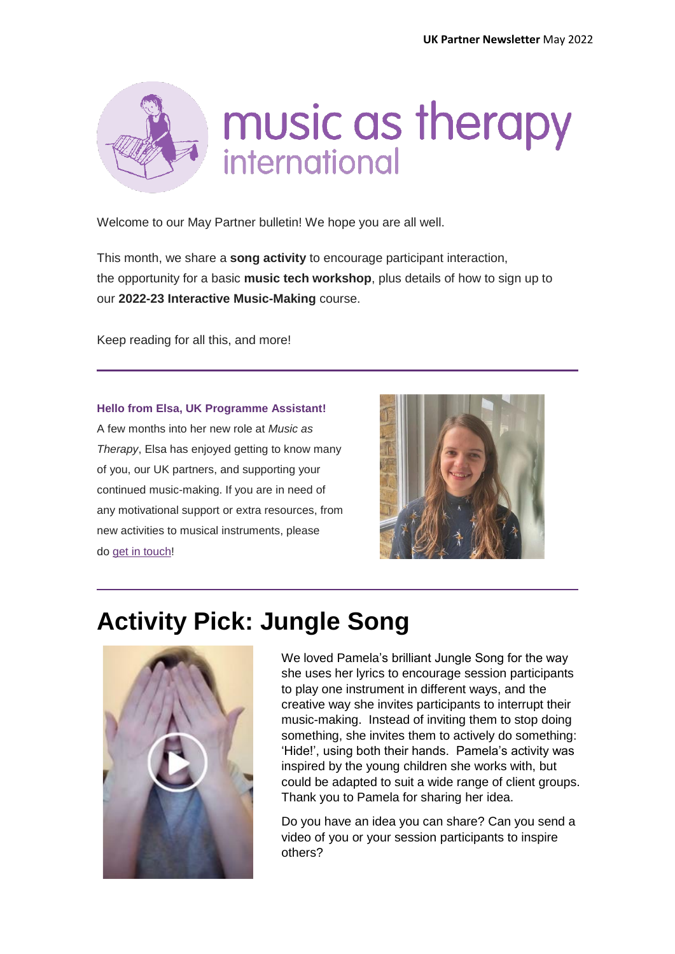

Welcome to our May Partner bulletin! We hope you are all well.

This month, we share a **song activity** to encourage participant interaction, the opportunity for a basic **music tech workshop**, plus details of how to sign up to our **2022-23 Interactive Music-Making** course.

Keep reading for all this, and more!

#### **Hello from Elsa, UK Programme Assistant!**

A few months into her new role at *Music as Therapy*, Elsa has enjoyed getting to know many of you, our UK partners, and supporting your continued music-making. If you are in need of any motivational support or extra resources, from new activities to musical instruments, please do [get in touch!](mailto:elsahariades@musicastherapy.org?subject=Hello!)



# **Activity Pick: Jungle Song**



We loved Pamela's brilliant Jungle Song for the way she uses her lyrics to encourage session participants to play one instrument in different ways, and the creative way she invites participants to interrupt their music-making. Instead of inviting them to stop doing something, she invites them to actively do something: 'Hide!', using both their hands. Pamela's activity was inspired by the young children she works with, but could be adapted to suit a wide range of client groups. Thank you to Pamela for sharing her idea.

Do you have an idea you can share? Can you send a video of you or your session participants to inspire others?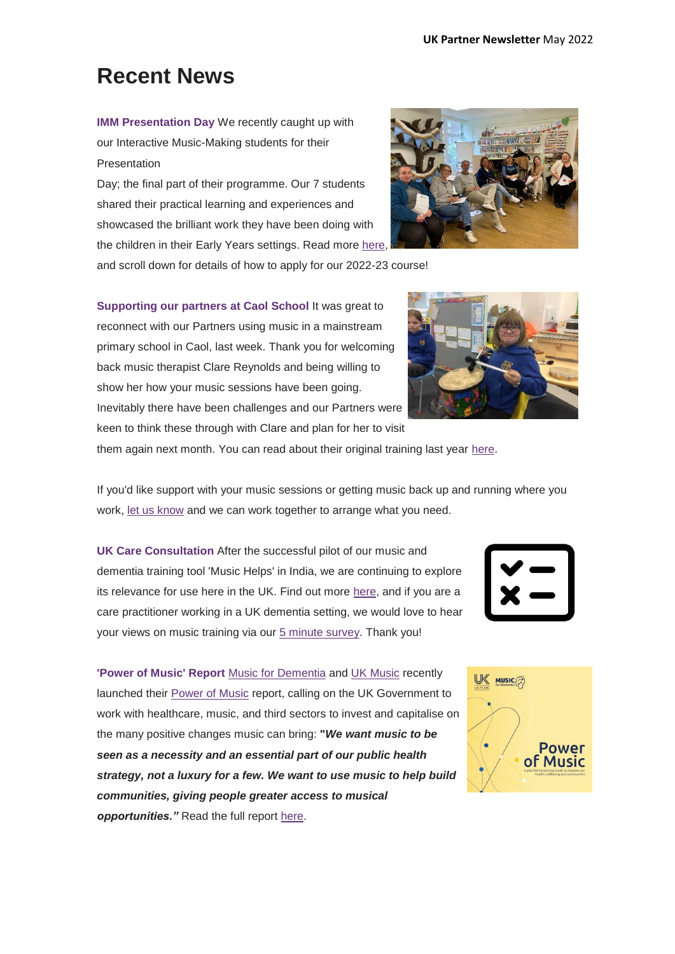## **Recent News**

**IMM Presentation Day** We recently caught up with our Interactive Music-Making students for their **Presentation** 

Day; the final part of their programme. Our 7 students shared their practical learning and experiences and showcased the brilliant work they have been doing with the children in their Early Years settings. Read more [here,](https://www.musicastherapy.org/news-item/interactive-music-making-presentation-day/)



and scroll down for details of how to apply for our 2022-23 course!

**Supporting our partners at Caol School** It was great to reconnect with our Partners using music in a mainstream primary school in Caol, last week. Thank you for welcoming back music therapist Clare Reynolds and being willing to show her how your music sessions have been going. Inevitably there have been challenges and our Partners were keen to think these through with Clare and plan for her to visit



them again next month. You can read about their original training last year [here.](https://www.musicastherapy.org/news-item/our-skill-sharing-project-with-caol-primary-school-begins/)

If you'd like support with your music sessions or getting music back up and running where you work, [let us know](mailto:elsahariades@musicastherapy.org?subject=Hello!) and we can work together to arrange what you need.

**UK Care Consultation** After the successful pilot of our music and dementia training tool 'Music Helps' in India, we are continuing to explore its relevance for use here in the UK. Find out more [here,](https://www.musicastherapy.org/news-item/music-helps-uk-care-sector-consultation/) and if you are a care practitioner working in a UK dementia setting, we would love to hear your views on music training via our [5 minute survey.](https://questionpro.com/t/AUEwwZscBa) Thank you!

**'Power of Music' Report** [Music for Dementia](https://musicfordementia.org.uk/) and [UK Music](https://www.ukmusic.org/) recently launched their [Power of Music](https://musicfordementia.org.uk/wp-content/uploads/2022/04/Power-of-Music-Report.pdf) report, calling on the UK Government to work with healthcare, music, and third sectors to invest and capitalise on the many positive changes music can bring: **"***We want music to be seen as a necessity and an essential part of our public health strategy, not a luxury for a few. We want to use music to help build communities, giving people greater access to musical opportunities."* Read the full report [here.](https://musicfordementia.org.uk/wp-content/uploads/2022/04/Power-of-Music-Report.pdf)